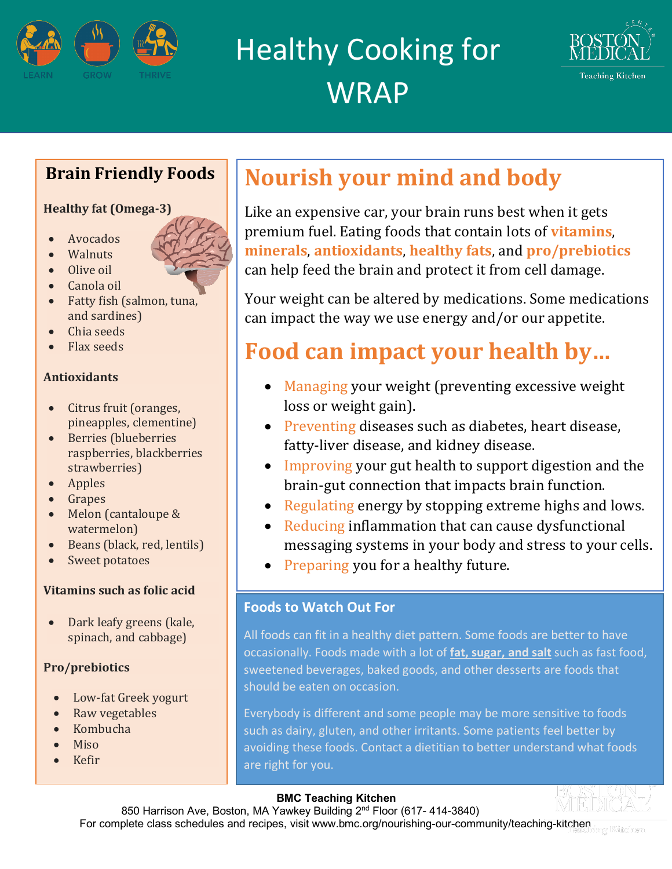

Healthy Cooking for **WRAP** 



### **Brain Friendly Foods**

#### **Healthy fat (Omega-3)**

- Avocados
- **Walnuts**
- $\bullet$  Olive oil
- Canola oil
- $\bullet$  Fatty fish (salmon, tuna, and sardines)
- Chia seeds
- Flax seeds

#### **Antioxidants**

- $\bullet$  Citrus fruit (oranges, pineapples, clementine)
- Berries (blueberries raspberries, blackberries strawberries)
- Apples
- Grapes
- Melon (cantaloupe & watermelon)
- Beans (black, red, lentils)
- Sweet potatoes

#### **Vitamins such as folic acid**

• Dark leafy greens (kale, spinach, and cabbage)

#### **Pro/prebiotics**

- Low-fat Greek yogurt
- Raw vegetables
- Kombucha
- Miso
- Kefir

## **Nourish your mind and body**

Like an expensive car, your brain runs best when it gets premium fuel. Eating foods that contain lots of **vitamins**, **minerals, antioxidants, healthy fats, and pro/prebiotics** can help feed the brain and protect it from cell damage.

Your weight can be altered by medications. Some medications can impact the way we use energy and/or our appetite.

# **Food can impact your health by...**

- Managing your weight (preventing excessive weight loss or weight gain).
- Preventing diseases such as diabetes, heart disease, fatty-liver disease, and kidney disease.
- Improving your gut health to support digestion and the brain-gut connection that impacts brain function.
- Regulating energy by stopping extreme highs and lows.
- Reducing inflammation that can cause dysfunctional messaging systems in your body and stress to your cells.
- Preparing you for a healthy future.

#### **Foods to Watch Out For**

All foods can fit in a healthy diet pattern. Some foods are better to have occasionally. Foods made with a lot of **fat, sugar, and salt** such as fast food, sweetened beverages, baked goods, and other desserts are foods that should be eaten on occasion.

Everybody is different and some people may be more sensitive to foods such as dairy, gluten, and other irritants. Some patients feel better by avoiding these foods. Contact a dietitian to better understand what foods are right for you.

#### **BMC Teaching Kitchen**

850 Harrison Ave, Boston, MA Yawkey Building 2<sup>nd</sup> Floor (617- 414-3840) For complete class schedules and recipes, visit www.bmc.org/nourishing-our-community/teaching-kitchen mg Kitohen

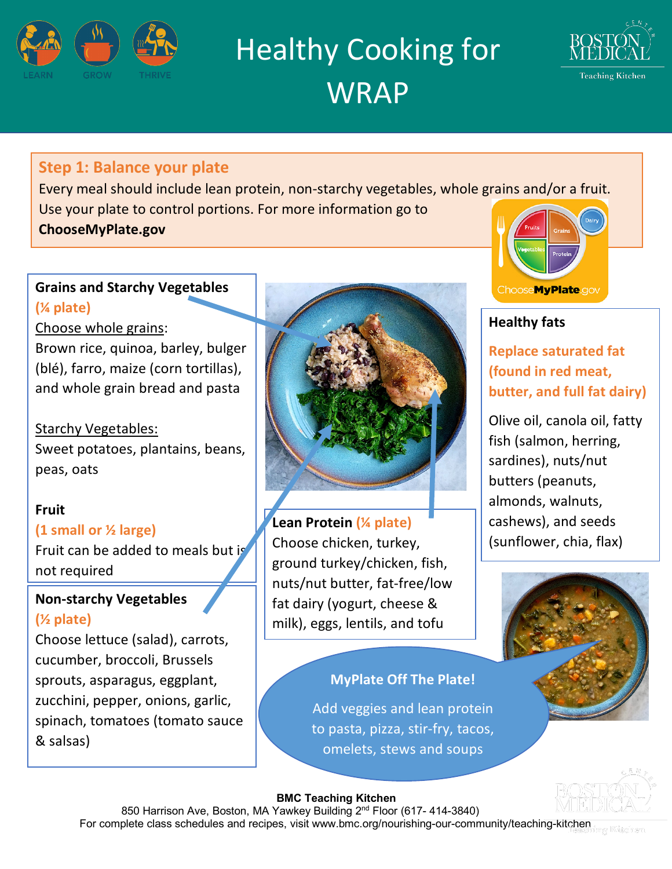

Healthy Cooking for **WRAP** 



#### **Step 1: Balance your plate**

Every meal should include lean protein, non-starchy vegetables, whole grains and/or a fruit. Use your plate to control portions. For more information go to **ChooseMyPlate.gov** 

#### **Grains and Starchy Vegetables (¼ plate)**

Choose whole grains:

Brown rice, quinoa, barley, bulger (blé), farro, maize (corn tortillas), and whole grain bread and pasta

Starchy Vegetables: Sweet potatoes, plantains, beans, peas, oats

#### **Fruit**

#### **(1 small or ½ large)**

Fruit can be added to meals but is not required

#### **Non-starchy Vegetables (½ plate)**

Choose lettuce (salad), carrots, cucumber, broccoli, Brussels sprouts, asparagus, eggplant, zucchini, pepper, onions, garlic, spinach, tomatoes (tomato sauce & salsas)



**Lean Protein (¼ plate)** Choose chicken, turkey, ground turkey/chicken, fish, nuts/nut butter, fat-free/low fat dairy (yogurt, cheese & milk), eggs, lentils, and tofu

**MyPlate Off The Plate!** 

to pasta, pizza, stir-fry, tacos, omelets, stews and soups



#### **Healthy fats**

**Replace saturated fat (found in red meat, butter, and full fat dairy)**

Olive oil, canola oil, fatty fish (salmon, herring, sardines), nuts/nut butters (peanuts, almonds, walnuts, cashews), and seeds (sunflower, chia, flax)





#### **BMC Teaching Kitchen**

850 Harrison Ave, Boston, MA Yawkey Building 2<sup>nd</sup> Floor (617- 414-3840) For complete class schedules and recipes, visit www.bmc.org/nourishing-our-community/teaching-kitchen ng Kitohen